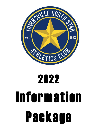

# 2022 Information Package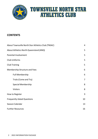

#### **CONTENTS**

| About Townsville North Star Athletics Club (TNSAC) |                |
|----------------------------------------------------|----------------|
| About Athletics North Queensland (ANQ)             | 5              |
| Parental Involvement                               | 5              |
| <b>Club Uniforms</b>                               | 5              |
| <b>Club Training</b>                               | 5              |
| Membership Structure and Fees                      | 6              |
| <b>Full Membership</b>                             | 6              |
| Trials (Come and Try)                              | $\overline{7}$ |
| <b>Special Membership</b>                          | 8              |
| <b>Visitors</b>                                    | 8              |
| How to Register                                    | 9              |
| <b>Frequently Asked Questions</b>                  | 10             |
| Season Calendar                                    |                |
| <b>Further Resources</b>                           |                |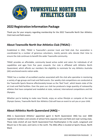

#### **2022 Registration Information Package**

Thank you for your enquiry regarding membership for the 2022 Townsville North Star Athletics Club track and field season.

#### <span id="page-2-0"></span>**About Townsville North Star Athletics Club (TNSAC) -**

Established in 1962, TNSAC is Townsville's premier track and field club. Our association is coordinated by a number of generous volunteers, mainly parents who donate their time to ensure the club continues to benefit the wider Townsville community.

TNSAC provides an affordable, community based active outlet and caters for individuals of all capabilities and ages from five years onwards. Our club is affiliated with Athletics North Queensland, which affords our members the eligibility to nominate for any Athletics Australia (AA) sanctioned events nation-wide.

TNSAC has a number of accredited coaches associated with the club who specialise in mentoring a variety of age groups and track and field events. Our weekly club competitions are conducted at the Townsville Sports Reserve affectionately known as the 'Red Track', which boasts state of the art track and field facilities. Over the years our club has produced a large quantity of noteworthy athletes that have competed and medalled at state, national, International competitions and the Olympics.

Whether you're looking to make new friends, enjoy an active lifestyle or compete at the next Olympic Games, Townsville North Star Athletics Club will have an event to suit you or your child.

#### <span id="page-2-1"></span>**About Athletics North Queensland (ANQ) –**

ANQ is Queensland Athletics' appointed agent in North Queensland. ANQ has over 3000 registered members and consists of almost forty separate track and field and road running clubs. These clubs stretch all over North Queensland from Rockhampton in the south, Longreach and Mount Isa in the west, and Cairns in the north. The ANQ office is located at Sports House, North Ward.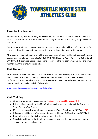

#### <span id="page-3-0"></span>**Parental Involvement**

Athletics offers a great opportunity for all children to learn the basic motor skills, to keep fit and to socialise with others. For those who wish to progress further in the sport, the pathways are also there.

No other sport offers such a wide range of events to all ages and to all levels of competitors. This is also one downside on that it makes athletics the most labour intensive of ALL sports.

All weekly training and track and field events conducted at our weekly club competitions are subject to parental involvement. PARENTS/GUARDIANS NEED TO ASSIST WITH THE RUNNING OF EACH EVENT. If there are not enough parents present to officiate each event in a safe and timely manner, then the event will be cancelled.

#### **Club Uniform**

All athletes must wear the TNSAC club uniform and attach their ANQ registration number to both the front and back when competing at all club competitions and track and field carnivals. Uniforms can be purchased online or from the registration desk at each club competition. Online uniform purchases can be made by following link:

[www.revolutionise.com.au/townsvillenorthstar/shop/](http://www.revolutionise.com.au/townsvillenorthstar/shop/)

#### <span id="page-3-1"></span>**Club Training**

- \$\$ training fee per athlete, per session. (Training fee for the 2022 season TBC)
- This is the fourth year in which TNSAC will be holding training sessions at the Townsville Sports Reserve (Red Track).
- $\bullet$  10 years seniors will be on a Monday afternoon at 5pm 6pm from the 18<sup>th</sup> April. (TBC)
- $\bullet$  7-9 year old's will be on a Wednesday afternoon at 4:30pm 5:30pm from the 16<sup>th</sup> March.
- There will be no training at all on school or public holidays.
- Cancellation of training due to rain will depend on how bad the rain is, and a decision will be made by 1pm on training days.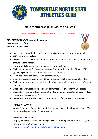

#### **2022 Membership Structure and Fees**

Membership for the 2022 season runs from  $1<sup>st</sup>$  April 2022 to 31 $<sup>st</sup>$  March 2023.</sup>

*FULL MEMBERSHIP***: The complete package 5yrs to 9yrs: \$250 10yrs and above: \$275**



- Registration with Athletics North Queensland as a Townsville North Star member
- ANQ registration package.
- Access to participate at all ANQ sanctioned Carnivals and Championships throughout the season.

(carnival and championship nomination costs not included)

- Eligible to nominate for State and National Championships until 31<sup>st</sup> March 2023. (qualifying standards must be met in order to nominate)
- Unlimited accessto weekly TNSAC competition nights.
- Unlimited access to weekly TNSAC training sessions (\$\$ training session fee TBC)
- Eligible to accumulate "competition points" which contribute to some end of season trophies.
- Eligible to have weekly competition performances recognized for "Club Records"
- Eligible to receive awards on Presentation Day (minimum 50% attendance at TNSAC club competitions required)
- Invitation to attend end ofseason Presentation Day function FREE OF CHARGE.

#### **FAMILY DISCOUNTS:**

Where 3 or more "immediate family" members take out full membership a \$50 discount will apply to the 3<sup>rd</sup> membership.

#### **FAIRPLAY VOUCHERS:**

Fairplay vouchers are available for eligible children/young people aged  $5 - 17$  years. For more information please visit:

[www.qld.gov.au/recreation/sports/funding/fairplay/apply](http://www.qld.gov.au/recreation/sports/funding/fairplay/apply)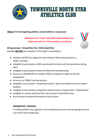

#### *TRIALS***: For the beginning athlete,school athlete or casual user**

**(Maximum of 3 "trial" visits after which athletes are required to join as a full member to continue)**



- Athletes will NOT be registered with Athletics North Queensland as a TNSAC member.
- Ineligible to participate at ANQ sanctioned Carnivals and Championships during 2022.
- Ineligible to participate at State and National Championships.
- Access to a MAXIMUM of 3 weekly TNSAC competition nights at \$10 per competition.
- No accessto TNSAC training sessions.
- Ineligible to accumulate "competition points" which contribute to end of season trophies.
- Ineligible to have weekly competition performances recognized for "Club Records"
- Ineligible to receive awards at the end of season Presentation Day.
- No invitation to attend Presentation Day function.

#### *MEMBERSHIP UPGRADE:*

A trialling athlete may upgrade to full membership at any time by paying the total cost of the full membership.

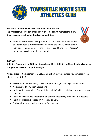

**Forthose athletes who have exceptional circumstances eg. Athletes who live out of Qld but wish to be TNSAC members to allow them to compete at higher levels of competition.**

● Athletes who believe they qualify for this form of membership need to submit details of their circumstances to the TNSAC committee for individual assessment. Terms and conditions of "special" memberships will be set by the committee.

#### <span id="page-6-0"></span>*VISITORS:*

**Athletes from another Athletics Australia or Little Athletics affiliated club wishing to compete at a TNSAC competition night.**

**All age groups: Competition fee: \$10/competition** (payable before you compete in that night's competition)

- Access to unlimited weekly TNSAC competition nights at \$10 per competition.
- No access to TNSAC training sessions.
- Ineligible to accumulate "competition points" which contribute to end of season trophies.
- Ineligible to have weekly competition performances recognized for "Club Records"
- Ineligible to receive awards on Presentation Day.
- No invitation to attend Presentation Day function.

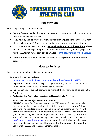

### **Registration**

Prior to registering all athletes must –

- Pay any fees outstanding from previous seasons registrations will not be accepted until outstanding fees are paid.
- If you have signed up previously with Athletics North Queensland in the last 3 years, please include your ANQ registration number when renewing your registration.
- If this is your first season at TNSAC **we need to sight your birth certificate**. Please present this when registering in person or when collecting your ANQ registration numbers. Alternatively, a copy can be emailed to  $info@towns$  villenorthstar.org.au
- Parents of Athletes under 16 must also complete a registration form for Insurance purposes.

#### **How to Register**

<span id="page-7-0"></span>Registration can be submitted in one of four ways –

- 1. Online through our website: https://client.revolutionise.com.au/townsvillenorthstar/site/edit/108153/
- 2. In person at one of our 2022 Sign on Days Saturday  $12<sup>th</sup>$  March and Sunday  $13<sup>th</sup>$ From 10am to 12pm at the Townsville Sports Reserve.
- 3. In person at any of our club competition nights at the Registration office beside the Finish line.
- 4. **RevSport Athlete Registration Instructions to Manage Fair play Vouchers**

#### **From TNSAC website (instructionsfor members)**

**"TNSAC"** accepts Fair Play vouchers for the 2022 season. To use this voucher for membership, please register the athlete via the age group Fairplay voucher payment class using our online membership system below. This will ensure the membership can be updated to an athlete class. When attending your first club day, please hand in your voucher to the club's registrar at the start of the day. Alternatively you can email your voucher to [info@townsvillenorthstar.org.au](mailto:info@townsvillenorthstar.org.au) prior to your first club day. An electronic invoice will be sent to your email for payment of the difference between the voucher of \$150.00 and the season membership fee.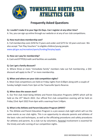

### **Frequently Asked Questions**

#### <span id="page-8-0"></span>**Q. I couldn't make it to your Sign On Days. Can I register at any other time?**

A. Yes, you can sign up online through our website or at any of our club competitions.

#### **Q. How much does membership cost?**

A. Full membership costs \$250 for 9 years and under and \$275 for 10 years and over. We also accept "Fair Play Vouchers" to eligible children/young people. [www.qld.gov.au/recreation/sports/funding/fairplay/apply](http://www.qld.gov.au/recreation/sports/funding/fairplay/apply)

#### **Q. How can I pay for membership?**

A. Cash and EFTPOS/credit card facilities are available.

#### **Q. Can I get a family discount?**

A. Where three or more "immediate family" members take out full membership, a \$50 discount will apply to the  $3<sup>rd</sup>$  or more membership.

#### **Q. When and where are your club competition nights?**

A. Most Club competitions are held on Friday nights from 6:00pm along with a couple of Sunday twilight meets from 3pm at the Townsville Sports Reserve.

#### **Q. When doesthe season start?**

A. Our first club meet being Athlete and Parent Education Programs (APEP) which will be held on the 25<sup>th</sup> March 2022. Our official first club competition evening will be held on Friday 22nd April 2022 from 6pm with a warmup from 5:40pm.

#### **Q. What isthe Athlete and Parent Education Program (APEP)?**

A. The Athlete and Parent Education Program is a pre-season club night which will run the same events as our club nights. This is an opportunity to educate parents and athletes of the basic rules and techniques, as well as the officiating procedures and safety procedures for athletes and parents. As a club run by volunteers, Parental involvement is essential for the timely and safe running of our competition nights.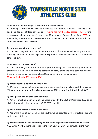

#### **Q. When are your training days and how much doesit cost?**

A. Training is provided by coaches accredited by Athletics Australia. Training is an additional fee per athlete per session. (Training fee for the 2022 season TBC) Training sessions are held on Monday afternoons for 10 year old's – Seniors 5pm – 6pm (TBC) and Wednesday afternoons for 7-9 -year old's from 4:30pm – 5:30pm. Sessions are conducted at the Townsville Sports Reserve.

#### **Q. How long doesthe season go for?**

A. Our season begins in April and extends to the end of September culminating in the ANQ North Queensland Championships held in September. (middle weekend in the September school holidays)

#### **Q. What extra costs are there?**

A. Club uniforms (compulsory) and appropriate running shoes. Membership entitles our athletes to be able to nominate to compete at many track and field carnivals however these incur additional nomination fees. Optional training for club members (Training fee for the 2022 season TBC).

#### **Q. What doesthe club uniform consist of?**

A. TNSAC shirt or singlet or crop top and plain black shorts or plain black bike pants. **\*\*Please note the new uniform is compulsory for 2022 to be eligable for club points\*\***

#### **Q. How quickly can my child start athletics?**

A. Athletes must be a minimum of five years of age by the 31st of December 2022 to be eligible for membership this season. (DOB 2017 and older)

#### **Q. Are there any older athletes in the club?**

A. Yes, while most of our members are youths, we do cater for mature/masters aged and professional athletes.

#### **Q. What other events are held throughout the North Queensland track and field season?**

A. Athletics North Queensland assists in the running of many events throughout the year.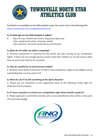

Full details are available on the ANQ website under the events tab or the following link: [www.revolutionise.com.au/qldathletics/events/](http://www.revolutionise.com.au/qldathletics/events/)

#### **Q. At what age can my child compete in spikes?**

A. 10yrs & 11yrs: laned track events, long jump, high jump 12yrs: laned track events, all jumps, javelin 13yrs and over: all events except discus and shot put

#### **Q. What do I do while my child is competing?**

A. Parental involvement is essential for the timely and safe running of our competition nights. If there are not enough parents present with their children to run the events safely then an event may need to be cancelled.

#### **Q. How do I qualify for an end ofseason trophy?**

A. Athletes must attend a minimum of 50% of club competition nights to be eligible and all outstanding fees must be paid in full.

#### **Q. What do I do if I've left something at the Sports Reserve?**

A. Please see our volunteers at the registration desk on the following Friday night for collection of lost property.

#### **Q. If I have a question or concern on a competition night whom should Ispeak to?**

A. Please approach a committee member who can be identified by their white or blue polo shirt and name badge.

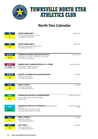

### **North Star Calendar**

| <b>FEB</b><br>$5\phantom{.0}$ | <b>SUNSET SERIES MEET 1</b><br>Saturday 5th February 4pm - 8pm<br><b>Townsville Sports Reserve</b>                                                 | PERMIT MEET                      |
|-------------------------------|----------------------------------------------------------------------------------------------------------------------------------------------------|----------------------------------|
| <b>FEB</b><br>19              | <b>SUNSET SERIES MEET 2</b><br>Saturday 19th February 3:30pm - 8pm<br>Townsville Sports Reserve                                                    | PERMIT MEET                      |
| <b>MARCH</b><br>$12 - 13$     | <b>TOWNSVILLE NORTH STAR SIGN ON DAYS</b><br>Saturday 12th - Sunday 13th March 10am-12pm<br>Townsville Sports Reserve                              | CLUB-SIGN ON                     |
| <b>MARCH</b><br>$3 - 6$       | <b>QUEENSLAND CHAMPIONSHIPS (U/14- OPEN)</b><br>Thursday 3rd - Sunday 6th March<br>Main Stadium, QSAC, Nathan                                      | <b>QLD STATE CHAMPS</b>          |
| <b>MARCH</b><br>25            | <b>ATHLETE &amp; PARENT EDUCATION PROGRAM</b><br>Friday 25 <sup>th</sup> March 6pm<br>Townsville Sports Reserve                                    | APEP MEET                        |
| <b>APRIL</b><br>22            | <b>TNSAC COMP 1</b><br>Friday 22nd April 6pm<br>Townsville Sports Reserve                                                                          | <b>CLUB MEET</b>                 |
| <b>APRIL</b><br>$26 - 3$      | <b>AUSTRALIAN ATHLETICS CHAMPIONSHIPS</b><br>Saturday 26th March - Sunday 3rd April<br>Sydney, NSW                                                 | <b>AUSTRALIAN CHAMPS</b>         |
| <b>APRIL</b><br>$29 - 1$      | <b>TOWNSVILLE FESTIVAL OF ATHLETICS (Formally Student</b><br>Games)<br>Friday 29th April - Sunday 1st May<br>Townsville Sports Reserve, Townsville | ANQ/CHAMPIONSHIP<br><b>EVENT</b> |
| May<br>$\boldsymbol{6}$       | <b>TNSAC COMP 2</b><br>Friday 6th May 6pm<br>Townsville Sports Reserve                                                                             | <b>CLUB MEET</b>                 |
| <b>MAY</b><br>13              | <b>TNS COMP 3</b><br>Friday 13th May 6pm<br>Townsville Sports Reserve                                                                              | <b>CLUB MEET</b>                 |

**12 2022 INFORMATION PACKAGE**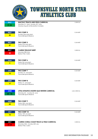

| <b>MAY</b>              | <b>MACKAY TRACK AND FIELD CARNIVAL</b>                                                | CARNIVAL            |
|-------------------------|---------------------------------------------------------------------------------------|---------------------|
| $21 - 22$               | Saturday 21st May-Sunday 22nd May<br>Mackay Aquatic & Recreation Complex              |                     |
| <b>MAY</b><br>22        | <b>TNS COMP 4</b><br>Sunday 22nd May 6pm                                              | <b>CLUB MEET</b>    |
|                         | Townsville Sports Reserve                                                             |                     |
| <b>MAY</b>              | <b>TNS COMP 5</b>                                                                     | <b>CLUB MEET</b>    |
| 27                      | Friday 27th May 6pm<br>Townsville Sports Reserve                                      |                     |
| <b>MAY</b>              | <b>CAIRNS TWILIGHT MEET</b>                                                           | CARNIVAL            |
| 28                      | Saturday 28th May<br><b>Barlow Park, Cairns</b>                                       |                     |
| June                    | <b>TNS COMP 6</b>                                                                     | <b>CLUB MEET</b>    |
| $\overline{\mathbf{3}}$ | Friday 3rd June 6pm<br>Townsville Sports Reserve                                      |                     |
| <b>JUNE</b>             | <b>TNS COMP 7</b>                                                                     | <b>CLUB MEET</b>    |
| 12                      | Sunday 12 <sup>th</sup> June 6pm<br><b>Townsville Sports Reserve</b>                  |                     |
| <b>JUNE</b>             | <b>TNS COMP 8</b>                                                                     | <b>CLUB MEET</b>    |
| 17                      | Friday 17 <sup>th</sup> June 6pm<br>Townsville Sports Reserve                         |                     |
| <b>JUNE</b>             | LITTLE ATHLETICS NORTH QLD WINTER CARNIVAL                                            | <b>LAQ CARNIVAL</b> |
| $25 - 26$               | Saturday 25 <sup>th</sup> - Sunday 26 <sup>th</sup> June<br>Townsville Sports Reserve |                     |
| <b>JUNE</b>             | <b>TNS COMP 9</b>                                                                     | <b>CLUB MEET</b>    |
| 24                      | Friday 24th June 6pm<br>Townsville Sports Reserve                                     |                     |
| <b>JULY</b>             | <b>TNS COMP 10</b>                                                                    | <b>CLUB MEET</b>    |
| 15                      | Friday 15th July 6pm<br>Townsville Sports Reserve                                     |                     |
| <b>JULY</b>             | <b>CAIRNS CORAL COAST TRACK &amp; FIELD CARNIVAL</b>                                  | CARNIVAL            |
| $23 - 24$               | Saturday 23rd - Sunday 24th July<br><b>Barlow Park, Cairns</b>                        |                     |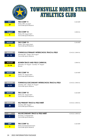|                               | NOR<br><b>TOWNSVILLE NORTH STAR</b><br>STAR<br>ATHLETICS CLUB<br>STABLISHED 19                                                                 |                        |
|-------------------------------|------------------------------------------------------------------------------------------------------------------------------------------------|------------------------|
| <b>JULY</b><br>29             | <b>TNS COMP 11</b><br>Friday 29th July 6pm<br><b>Townsville Sports Reserve</b>                                                                 | <b>CLUB MEET</b>       |
| August<br>$5\phantom{.0}$     | <b>TNS COMP 12</b><br>Friday 5th August 6pm<br><b>Townsville Sports Reserve</b>                                                                | <b>CARNIVAL</b>        |
| <b>AUGUST</b><br>12           | <b>TNS COMP 13</b><br>Friday 12th August 6pm<br><b>Townsville Sports Reserve</b>                                                               | <b>CLUB MEET</b>       |
| <b>AUGUST</b><br>$8 - 12$     | <b>TOWNSVILLE PRIMARY INTERSCHOOL TRACK &amp; FIELD</b><br>Monday 8th - Friday 12th August<br>Townsville Sports Reserve                        | <b>SCHOOL CARNIVAL</b> |
| <b>AUGUST</b><br>$13 - 14$    | <b>BOWEN TRACK AND FIELD CARNIVAL</b><br>Saturday 13 <sup>th</sup> August - Sunday 14 <sup>th</sup> August<br><b>Bowen</b>                     | CARNIVAL               |
| <b>AUGUST</b><br>19           | <b>TNS COMP 14</b><br>Friday 19 <sup>th</sup> August 6pm<br><b>Townsville Sports Reserve</b>                                                   | <b>CLUB MEET</b>       |
| <b>AUGUST</b><br>$16 - 19$    | <b>TOWNSVILLE SECONDARY INTERSCHOOL TRACK &amp; FIELD</b><br>Tuesday 16th - Friday 19 <sup>th</sup> August<br><b>Townsville Sports Reserve</b> | <b>SCHOOL CARNIVAL</b> |
| <b>AUGUST</b><br>26           | <b>TNS COMP 15</b><br>Friday 26 <sup>th</sup> August 6pm<br>Townsville Sports Reserve                                                          | <b>CLUB MEET</b>       |
| <b>AUGUST</b><br>30           | <b>NO PRIMARY TRACK &amp; FIELD MEET</b><br>Tuesday 30th August<br><b>Townsville Sports Reserve</b>                                            | <b>SCHOOL CARNIVAL</b> |
| <b>SEPT</b><br>$\mathbf{1}$   | <b>NQ SECONDARY TRACK &amp; FIELD MEET</b><br>Thursday 1st September<br>Townsville Sports Reserve                                              | <b>SCHOOL CARNIVAL</b> |
| <b>SEPT</b><br>$\overline{2}$ | <b>TNS COMP 16</b><br>Friday 2nd September 6pm<br>Townsville Sports Reserve                                                                    | <b>CLUB MEET</b>       |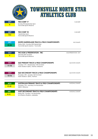|                           | <b>TOWNSVILLE NORTH STAR</b><br>Ξ<br><b>ATHLETICS CLUB</b><br>TABLISHED 196                                                              |                         |
|---------------------------|------------------------------------------------------------------------------------------------------------------------------------------|-------------------------|
| <b>SEPT</b><br>9          | <b>TNS COMP 17</b><br>Sunday 9th September 4pm<br><b>Townsville Sports Reserve</b>                                                       | <b>CLUB MEET</b>        |
| <b>SEPT</b><br><b>TBC</b> | <b>TNS COMP 18</b><br>September 6pm<br><b>Townsville Sports Reserve</b>                                                                  | <b>CLUB MEET</b>        |
| <b>SEPT</b><br>$23 - 25$  | <b>NORTH QUEENSLAND TRACK &amp; FIELD CHAMPIONSHIPS</b><br>Friday 23rd - Sunday 25th September<br>Townsville Sports reserve - Townsville | NQ CHAMPS               |
| <b>OCT</b><br>9           | <b>TNS AGM &amp; PRESENTATION - TBC</b><br>Saturday 8th October<br><b>Townsville Sports Reserve</b>                                      | AGM/PRESENTATION DAY    |
| <b>OCT</b><br>$11 - 12$   | <b>QLD PRIMARY TRACK &amp; FIELD CHAMPIONSHIPS</b><br>Tuesday 11th - Wednesday 12th October<br>Main Stadium QSAC, Nathan, Brisbane       | <b>QLD STATE CHAMPS</b> |
| <b>OCT</b><br>$13 - 16$   | <b>QLD SECONDARY TRACK &amp; FIELD CHAMPIONSHIPS</b><br>Thursday 13th - Sunday 16th October<br>Main Stadium, QSAC, Nathan                | <b>QLD STATE CHAMPS</b> |
| <b>NOV</b><br>$17 - 21$   | <b>AUSTRALIAN PRIMARY TRACK &amp; FIELD CHAMPIONSHIPS</b><br>Thursday 17th - Monday 21st November<br>QSAC, Brisbane                      | <b>NATIONAL CHAMPS</b>  |
| <b>DEC</b><br>$9 - 11$    | <b>AUST SECONDARY TRACK &amp; FIELD CHAMPIONSHIPS</b><br>Friday 9th - Sunday 11th December<br>SA Athletics Stadium, Adelaide             | <b>NATIONAL CHAMPS</b>  |